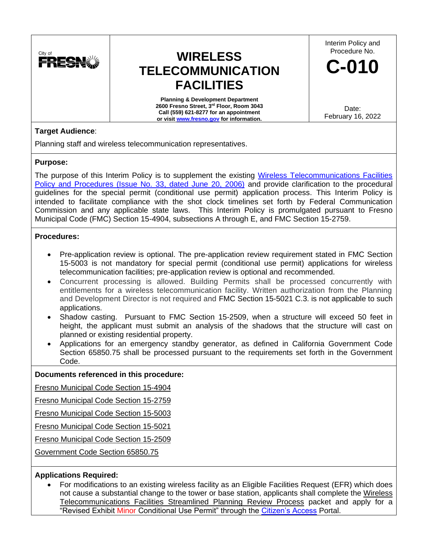

# **WIRELESS TELECOMMUNICATION FACILITIES**

**Planning & Development Department 2600 Fresno Street, 3rd Floor, Room 3043 Call (559) 621-8277 for an appointment or visit [www.fresno.gov](http://www.fresno.gov/) for information.**

Interim Policy and Procedure No.

**C-010**

Date: February 16, 2022

# **Target Audience**:

Planning staff and wireless telecommunication representatives.

## **Purpose:**

The purpose of this Interim Policy is to supplement the existing [Wireless Telecommunications Facilities](https://webapp.fresno.gov/docs/darm/PlanningDocs/Issue%20No.%2033%20-%20Cell%20Tower%20Design%20and%20Procedures%20Policies.pdf)  [Policy and Procedures \(Issue No. 33, dated June 20, 2006\)](https://webapp.fresno.gov/docs/darm/PlanningDocs/Issue%20No.%2033%20-%20Cell%20Tower%20Design%20and%20Procedures%20Policies.pdf) and provide clarification to the procedural guidelines for the special permit (conditional use permit) application process. This Interim Policy is intended to facilitate compliance with the shot clock timelines set forth by Federal Communication Commission and any applicable state laws. This Interim Policy is promulgated pursuant to Fresno Municipal Code (FMC) Section 15-4904, subsections A through E, and FMC Section 15-2759.

## **Procedures:**

- Pre-application review is optional. The pre-application review requirement stated in FMC Section 15-5003 is not mandatory for special permit (conditional use permit) applications for wireless telecommunication facilities; pre-application review is optional and recommended.
- Concurrent processing is allowed. Building Permits shall be processed concurrently with entitlements for a wireless telecommunication facility. Written authorization from the Planning and Development Director is not required and FMC Section 15-5021 C.3. is not applicable to such applications.
- Shadow casting. Pursuant to FMC Section 15-2509, when a structure will exceed 50 feet in height, the applicant must submit an analysis of the shadows that the structure will cast on planned or existing residential property.
- Applications for an emergency standby generator, as defined in California Government Code Section 65850.75 shall be processed pursuant to the requirements set forth in the Government Code.

# **Documents referenced in this procedure:**

Fresno Municipal Code Section 15-4904

Fresno Municipal Code Section 15-2759

Fresno Municipal Code Section 15-5003

Fresno Municipal Code Section 15-5021

Fresno Municipal Code Section 15-2509

Government Code Section 65850.75

# **Applications Required:**

• For modifications to an existing wireless facility as an Eligible Facilities Request (EFR) which does not cause a substantial change to the tower or base station, applicants shall complete the Wireless Telecommunications Facilities Streamlined Planning Review Process packet and apply for a "Revised Exhibit Minor Conditional Use Permit" through the [Citizen's Access](https://lmsaca.fresno.gov/CitizenAccess/Default.aspx) Portal.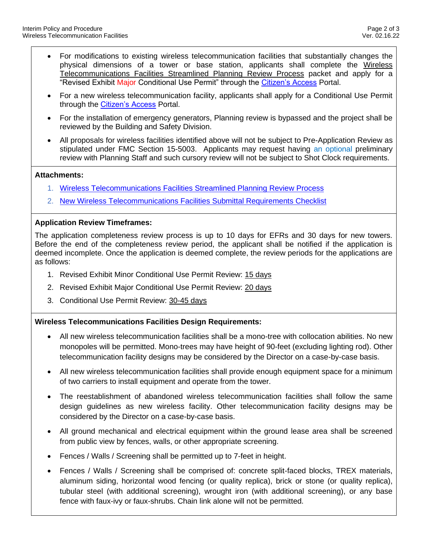- For modifications to existing wireless telecommunication facilities that substantially changes the physical dimensions of a tower or base station, applicants shall complete the Wireless Telecommunications Facilities Streamlined Planning Review Process packet and apply for a "Revised Exhibit Major Conditional Use Permit" through the [Citizen's Access](https://lmsaca.fresno.gov/CitizenAccess/Default.aspx) Portal.
- For a new wireless telecommunication facility, applicants shall apply for a Conditional Use Permit through the [Citizen's Access](https://lmsaca.fresno.gov/CitizenAccess/Default.aspx) Portal.
- For the installation of emergency generators, Planning review is bypassed and the project shall be reviewed by the Building and Safety Division.
- All proposals for wireless facilities identified above will not be subject to Pre-Application Review as stipulated under FMC Section 15-5003. Applicants may request having an optional preliminary review with Planning Staff and such cursory review will not be subject to Shot Clock requirements.

#### **Attachments:**

- 1. [Wireless Telecommunications Facilities Streamlined Planning Review Process](https://webapp.fresno.gov/docs/darm/PlanningDocs/D.C.9%20-%20C-010%20-%20Attachment%201.pdf)
- 2. [New Wireless Telecommunications Facilities Submittal Requirements Checklist](https://webapp.fresno.gov/docs/darm/PlanningDocs/D.C.9%20-%20C-010%20-%20Attachment%202.pdf)

## **Application Review Timeframes:**

The application completeness review process is up to 10 days for EFRs and 30 days for new towers. Before the end of the completeness review period, the applicant shall be notified if the application is deemed incomplete. Once the application is deemed complete, the review periods for the applications are as follows:

- 1. Revised Exhibit Minor Conditional Use Permit Review: 15 days
- 2. Revised Exhibit Major Conditional Use Permit Review: 20 days
- 3. Conditional Use Permit Review: 30-45 days

## **Wireless Telecommunications Facilities Design Requirements:**

- All new wireless telecommunication facilities shall be a mono-tree with collocation abilities. No new monopoles will be permitted. Mono-trees may have height of 90-feet (excluding lighting rod). Other telecommunication facility designs may be considered by the Director on a case-by-case basis.
- All new wireless telecommunication facilities shall provide enough equipment space for a minimum of two carriers to install equipment and operate from the tower.
- The reestablishment of abandoned wireless telecommunication facilities shall follow the same design guidelines as new wireless facility. Other telecommunication facility designs may be considered by the Director on a case-by-case basis.
- All ground mechanical and electrical equipment within the ground lease area shall be screened from public view by fences, walls, or other appropriate screening.
- Fences / Walls / Screening shall be permitted up to 7-feet in height.
- Fences / Walls / Screening shall be comprised of: concrete split-faced blocks, TREX materials, aluminum siding, horizontal wood fencing (or quality replica), brick or stone (or quality replica), tubular steel (with additional screening), wrought iron (with additional screening), or any base fence with faux-ivy or faux-shrubs. Chain link alone will not be permitted.